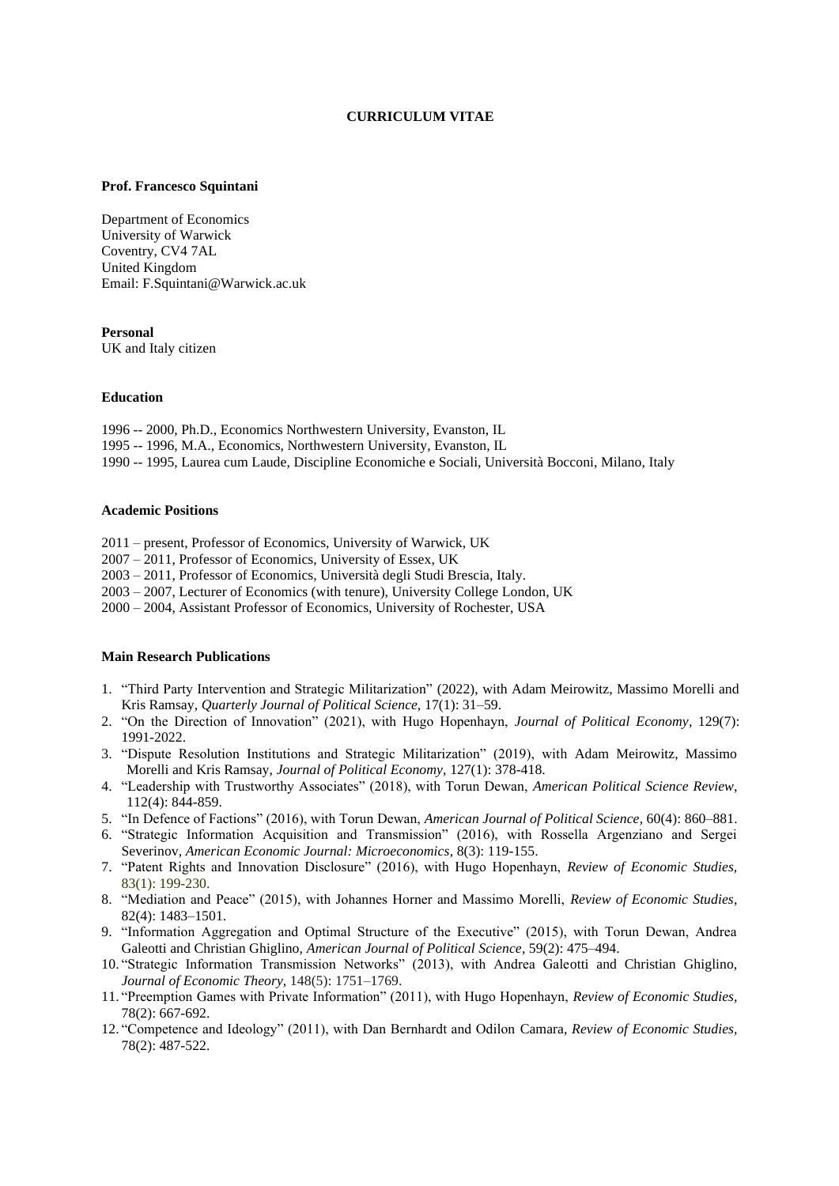# **CURRICULUM VITAE**

#### **Prof. Francesco Squintani**

Department of Economics University of Warwick Coventry, CV4 7AL United Kingdom Email: F.Squintani@Warwick.ac.uk

# **Personal**

UK and Italy citizen

#### **Education**

1996 -- 2000, Ph.D., Economics Northwestern University, Evanston, IL 1995 -- 1996, M.A., Economics, Northwestern University, Evanston, IL 1990 -- 1995, Laurea cum Laude, Discipline Economiche e Sociali, Università Bocconi, Milano, Italy

#### **Academic Positions**

2011 – present, Professor of Economics, University of Warwick, UK

2007 – 2011, Professor of Economics, University of Essex, UK

2003 – 2011, Professor of Economics, Università degli Studi Brescia, Italy.

2003 – 2007, Lecturer of Economics (with tenure), University College London, UK

2000 – 2004, Assistant Professor of Economics, University of Rochester, USA

# **Main Research Publications**

- 1. "Third Party Intervention and Strategic Militarization" (2022), with Adam Meirowitz, Massimo Morelli and Kris Ramsay, *Quarterly Journal of Political Science,* 17(1): 31–59.
- 2. "On the Direction of Innovation" (2021), with Hugo Hopenhayn, *Journal of Political Economy,* 129(7): 1991-2022.
- 3. "Dispute Resolution Institutions and Strategic Militarization" (2019), with Adam Meirowitz, Massimo Morelli and Kris Ramsay, *Journal of Political Economy,* 127(1): 378-418.
- 4. "Leadership with Trustworthy Associates" (2018), with Torun Dewan, *American Political Science Review,* 112(4): 844-859.
- 5. "In Defence of Factions" (2016), with Torun Dewan, *American Journal of Political Science*, 60(4): 860–881.
- 6. "Strategic Information Acquisition and Transmission" (2016), with Rossella Argenziano and Sergei Severinov, *American Economic Journal: Microeconomics*, 8(3): 119-155.
- 7. "Patent Rights and Innovation Disclosure" (2016), with Hugo Hopenhayn, *Review of Economic Studies,* 83(1): 199-230.
- 8. "Mediation and Peace" (2015), with Johannes Horner and Massimo Morelli, *Review of Economic Studies*, 82(4): 1483–1501.
- 9. "Information Aggregation and Optimal Structure of the Executive" (2015), with Torun Dewan, Andrea Galeotti and Christian Ghiglino, *American Journal of Political Science*, 59(2): 475–494.
- 10. "Strategic Information Transmission Networks" (2013), with Andrea Galeotti and Christian Ghiglino, *Journal of Economic Theory,* 148(5): 1751–1769.
- 11. "Preemption Games with Private Information" (2011), with Hugo Hopenhayn, *Review of Economic Studies,* 78(2): 667-692.
- 12. "Competence and Ideology" (2011), with Dan Bernhardt and Odilon Camara, *Review of Economic Studies,* 78(2): 487-522.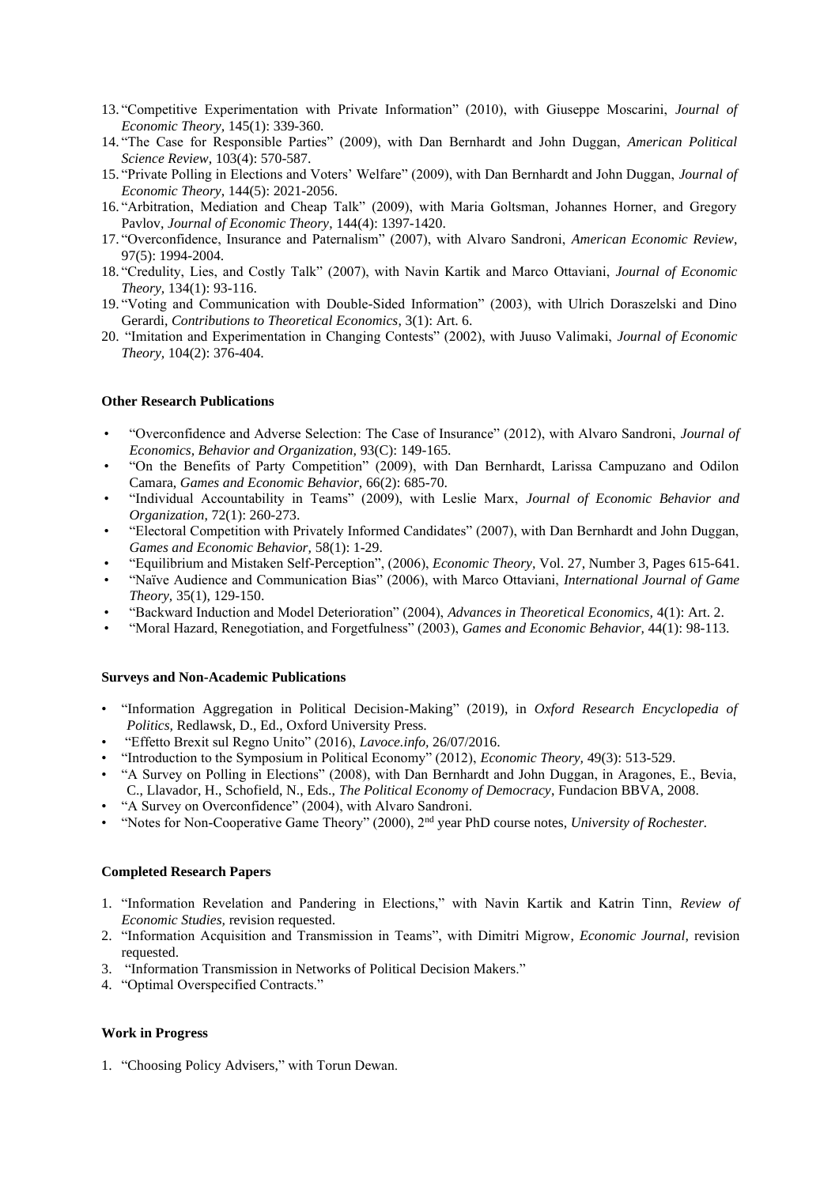- 13. "Competitive Experimentation with Private Information" (2010), with Giuseppe Moscarini, *Journal of Economic Theory,* 145(1): 339-360.
- 14. "The Case for Responsible Parties" (2009), with Dan Bernhardt and John Duggan, *American Political Science Review*, 103(4): 570-587.
- 15. "Private Polling in Elections and Voters' Welfare" (2009), with Dan Bernhardt and John Duggan, *Journal of Economic Theory*, 144(5): 2021-2056.
- 16. "Arbitration, Mediation and Cheap Talk" (2009), with Maria Goltsman, Johannes Horner, and Gregory Pavlov, *Journal of Economic Theory*, 144(4): 1397-1420.
- 17. "Overconfidence, Insurance and Paternalism" (2007), with Alvaro Sandroni, *American Economic Review*, 97(5): 1994-2004.
- 18. "Credulity, Lies, and Costly Talk" (2007), with Navin Kartik and Marco Ottaviani, *Journal of Economic Theory,* 134(1): 93-116.
- 19. "Voting and Communication with Double-Sided Information" (2003), with Ulrich Doraszelski and Dino Gerardi, *Contributions to Theoretical Economics*, 3(1): Art. 6.
- 20. "Imitation and Experimentation in Changing Contests" (2002), with Juuso Valimaki, *Journal of Economic Theory,* 104(2): 376-404.

#### **Other Research Publications**

- "Overconfidence and Adverse Selection: The Case of Insurance" (2012), with Alvaro Sandroni, *Journal of Economics, Behavior and Organization,* 93(C): 149-165.
- "On the Benefits of Party Competition" (2009), with Dan Bernhardt, Larissa Campuzano and Odilon Camara, *Games and Economic Behavior,* 66(2): 685-70.
- "Individual Accountability in Teams" (2009), with Leslie Marx, *Journal of Economic Behavior and Organization*, 72(1): 260-273.
- "Electoral Competition with Privately Informed Candidates" (2007), with Dan Bernhardt and John Duggan, *Games and Economic Behavior,* 58(1): 1-29.
- "Equilibrium and Mistaken Self-Perception", (2006), *Economic Theory,* Vol. 27, Number 3, Pages 615-641.
- "Naïve Audience and Communication Bias" (2006), with Marco Ottaviani, *International Journal of Game Theory,* 35(1), 129-150.
- "Backward Induction and Model Deterioration" (2004), *Advances in Theoretical Economics,* 4(1): Art. 2.
- "Moral Hazard, Renegotiation, and Forgetfulness" (2003), *Games and Economic Behavior,* 44(1): 98-113.

#### **Surveys and Non-Academic Publications**

- "Information Aggregation in Political Decision-Making" (2019), in *Oxford Research Encyclopedia of Politics,* Redlawsk, D., Ed., Oxford University Press.
- "Effetto Brexit sul Regno Unito" (2016), *Lavoce.info,* 26/07/2016.
- "Introduction to the Symposium in Political Economy" (2012), *Economic Theory,* 49(3): 513-529.
- "A Survey on Polling in Elections" (2008), with Dan Bernhardt and John Duggan, in Aragones, E., Bevia, C., Llavador, H., Schofield, N., Eds., *The Political Economy of Democracy*, Fundacion BBVA, 2008.
- "A Survey on Overconfidence" (2004), with Alvaro Sandroni.
- "Notes for Non-Cooperative Game Theory" (2000), 2nd year PhD course notes, *University of Rochester.*

#### **Completed Research Papers**

- 1. "Information Revelation and Pandering in Elections," with Navin Kartik and Katrin Tinn, *Review of Economic Studies,* revision requested.
- 2. "Information Acquisition and Transmission in Teams", with Dimitri Migrow, *Economic Journal,* revision requested.
- 3. "Information Transmission in Networks of Political Decision Makers."
- 4. "Optimal Overspecified Contracts."

#### **Work in Progress**

1. "Choosing Policy Advisers," with Torun Dewan.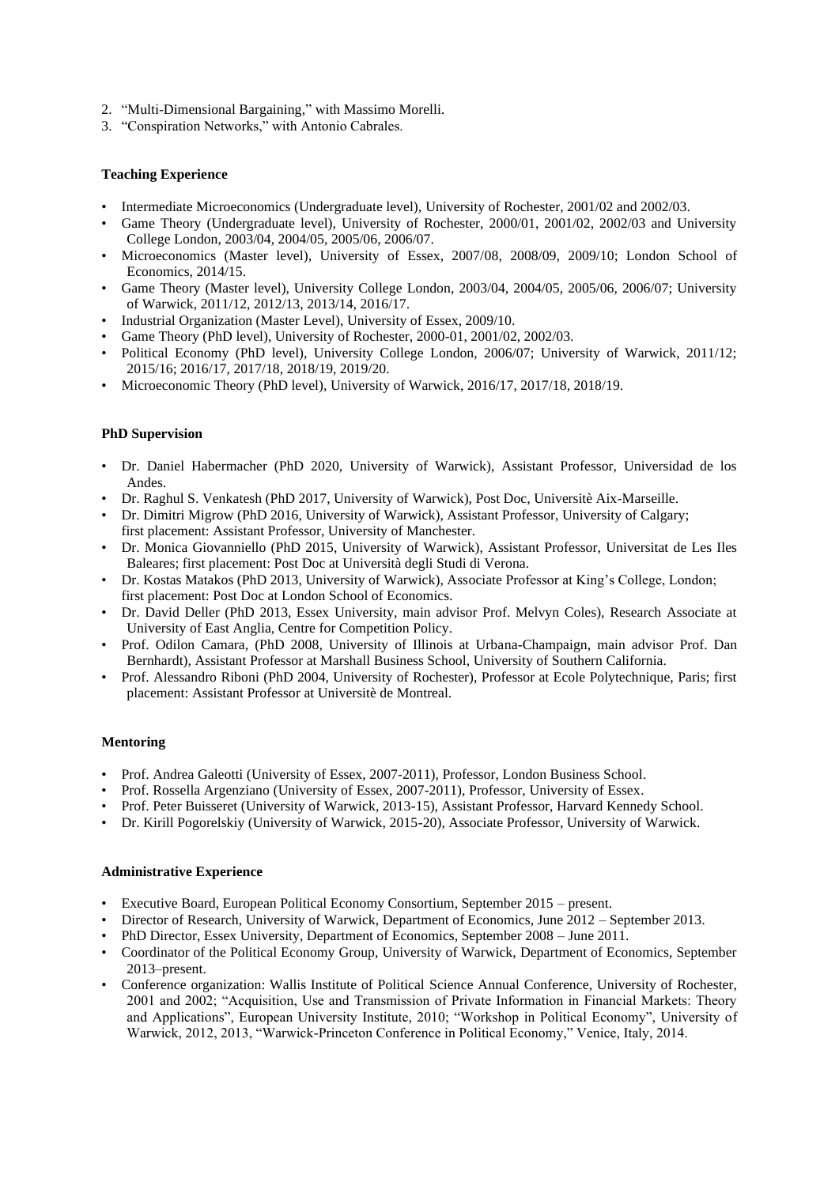- 2. "Multi-Dimensional Bargaining," with Massimo Morelli.
- 3. "Conspiration Networks," with Antonio Cabrales.

# **Teaching Experience**

- Intermediate Microeconomics (Undergraduate level), University of Rochester, 2001/02 and 2002/03.
- Game Theory (Undergraduate level), University of Rochester, 2000/01, 2001/02, 2002/03 and University College London, 2003/04, 2004/05, 2005/06, 2006/07.
- Microeconomics (Master level), University of Essex, 2007/08, 2008/09, 2009/10; London School of Economics, 2014/15.
- Game Theory (Master level), University College London, 2003/04, 2004/05, 2005/06, 2006/07; University of Warwick, 2011/12, 2012/13, 2013/14, 2016/17.
- Industrial Organization (Master Level), University of Essex, 2009/10.
- Game Theory (PhD level), University of Rochester, 2000-01, 2001/02, 2002/03.
- Political Economy (PhD level), University College London, 2006/07; University of Warwick, 2011/12; 2015/16; 2016/17, 2017/18, 2018/19, 2019/20.
- Microeconomic Theory (PhD level), University of Warwick, 2016/17, 2017/18, 2018/19.

# **PhD Supervision**

- Dr. Daniel Habermacher (PhD 2020, University of Warwick), Assistant Professor, Universidad de los Andes.
- Dr. Raghul S. Venkatesh (PhD 2017, University of Warwick), Post Doc, Universitè Aix-Marseille.
- Dr. Dimitri Migrow (PhD 2016, University of Warwick), Assistant Professor, University of Calgary; first placement: Assistant Professor, University of Manchester.
- Dr. Monica Giovanniello (PhD 2015, University of Warwick), Assistant Professor, Universitat de Les Iles Baleares; first placement: Post Doc at Università degli Studi di Verona.
- Dr. Kostas Matakos (PhD 2013, University of Warwick), Associate Professor at King's College, London; first placement: Post Doc at London School of Economics.
- Dr. David Deller (PhD 2013, Essex University, main advisor Prof. Melvyn Coles), Research Associate at University of East Anglia, Centre for Competition Policy.
- Prof. Odilon Camara, (PhD 2008, University of Illinois at Urbana-Champaign, main advisor Prof. Dan Bernhardt), Assistant Professor at Marshall Business School, University of Southern California.
- Prof. Alessandro Riboni (PhD 2004, University of Rochester), Professor at Ecole Polytechnique, Paris; first placement: Assistant Professor at Universitè de Montreal.

## **Mentoring**

- Prof. Andrea Galeotti (University of Essex, 2007-2011), Professor, London Business School.
- Prof. Rossella Argenziano (University of Essex, 2007-2011), Professor, University of Essex.
- Prof. Peter Buisseret (University of Warwick, 2013-15), Assistant Professor, Harvard Kennedy School.
- Dr. Kirill Pogorelskiy (University of Warwick, 2015-20), Associate Professor, University of Warwick.

## **Administrative Experience**

- Executive Board, European Political Economy Consortium, September 2015 present.
- Director of Research, University of Warwick, Department of Economics, June 2012 September 2013.
- PhD Director, Essex University, Department of Economics, September 2008 June 2011.
- Coordinator of the Political Economy Group, University of Warwick, Department of Economics, September 2013–present.
- Conference organization: Wallis Institute of Political Science Annual Conference, University of Rochester, 2001 and 2002; "Acquisition, Use and Transmission of Private Information in Financial Markets: Theory and Applications", European University Institute, 2010; "Workshop in Political Economy", University of Warwick, 2012, 2013, "Warwick-Princeton Conference in Political Economy," Venice, Italy, 2014.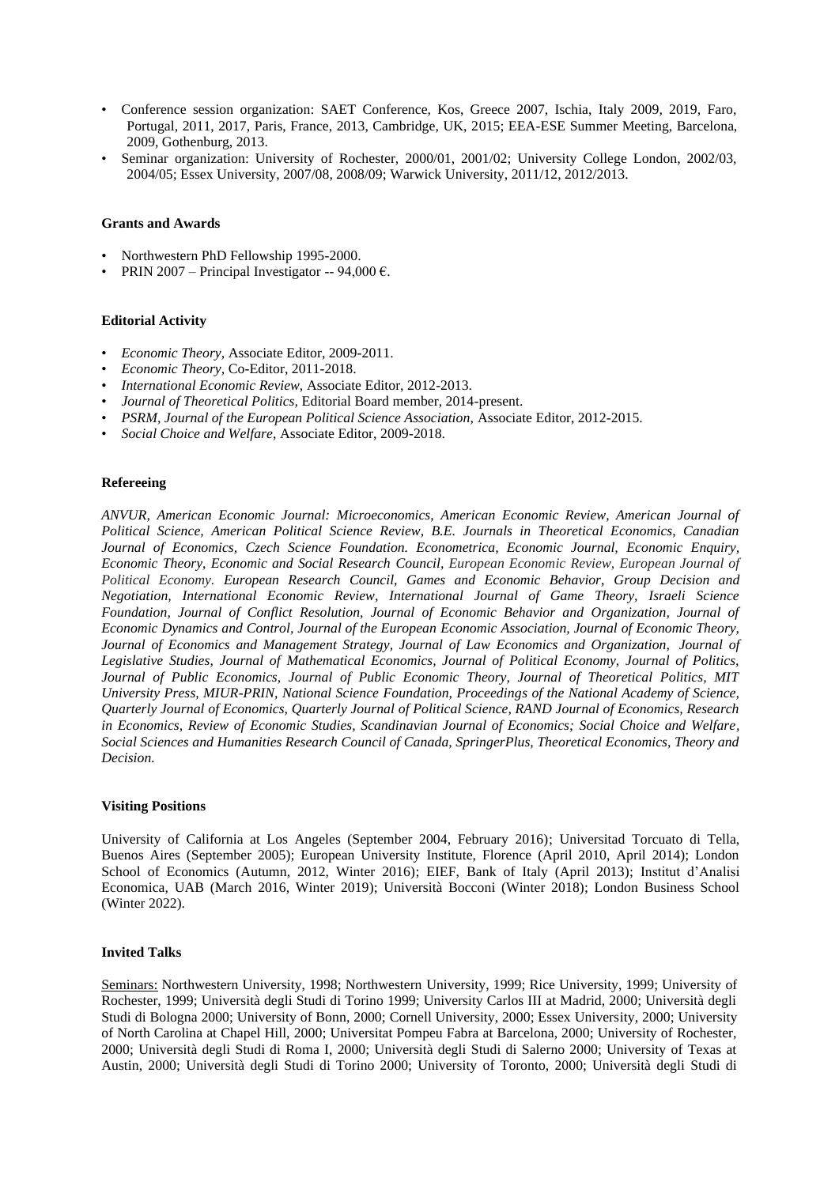- Conference session organization: SAET Conference, Kos, Greece 2007, Ischia, Italy 2009, 2019, Faro, Portugal, 2011, 2017, Paris, France, 2013, Cambridge, UK, 2015; EEA-ESE Summer Meeting, Barcelona, 2009, Gothenburg, 2013.
- Seminar organization: University of Rochester, 2000/01, 2001/02; University College London, 2002/03, 2004/05; Essex University, 2007/08, 2008/09; Warwick University, 2011/12, 2012/2013.

# **Grants and Awards**

- Northwestern PhD Fellowship 1995-2000.
- PRIN 2007 Principal Investigator -- 94,000  $\epsilon$ .

# **Editorial Activity**

- *Economic Theory,* Associate Editor, 2009-2011.
- *Economic Theory,* Co-Editor, 2011-2018.
- *International Economic Review,* Associate Editor, 2012-2013.
- *Journal of Theoretical Politics,* Editorial Board member, 2014-present.
- *PSRM, Journal of the European Political Science Association,* Associate Editor, 2012-2015.
- *Social Choice and Welfare*, Associate Editor, 2009-2018.

## **Refereeing**

*ANVUR, American Economic Journal: Microeconomics, American Economic Review, American Journal of Political Science, American Political Science Review, B.E. Journals in Theoretical Economics, Canadian Journal of Economics, Czech Science Foundation. Econometrica, Economic Journal, Economic Enquiry, Economic Theory, Economic and Social Research Council, European Economic Review, European Journal of Political Economy. European Research Council, Games and Economic Behavior, Group Decision and Negotiation, International Economic Review, International Journal of Game Theory, Israeli Science Foundation, Journal of Conflict Resolution, Journal of Economic Behavior and Organization, Journal of Economic Dynamics and Control, Journal of the European Economic Association, Journal of Economic Theory, Journal of Economics and Management Strategy, Journal of Law Economics and Organization, Journal of Legislative Studies, Journal of Mathematical Economics, Journal of Political Economy, Journal of Politics, Journal of Public Economics, Journal of Public Economic Theory, Journal of Theoretical Politics, MIT University Press, MIUR-PRIN, National Science Foundation, Proceedings of the National Academy of Science, Quarterly Journal of Economics, Quarterly Journal of Political Science, RAND Journal of Economics, Research in Economics, Review of Economic Studies, Scandinavian Journal of Economics; Social Choice and Welfare, Social Sciences and Humanities Research Council of Canada, SpringerPlus, Theoretical Economics, Theory and Decision.*

## **Visiting Positions**

University of California at Los Angeles (September 2004, February 2016); Universitad Torcuato di Tella, Buenos Aires (September 2005); European University Institute, Florence (April 2010, April 2014); London School of Economics (Autumn, 2012, Winter 2016); EIEF, Bank of Italy (April 2013); Institut d'Analisi Economica, UAB (March 2016, Winter 2019); Università Bocconi (Winter 2018); London Business School (Winter 2022).

## **Invited Talks**

Seminars: Northwestern University, 1998; Northwestern University, 1999; Rice University, 1999; University of Rochester, 1999; Università degli Studi di Torino 1999; University Carlos III at Madrid, 2000; Università degli Studi di Bologna 2000; University of Bonn, 2000; Cornell University, 2000; Essex University, 2000; University of North Carolina at Chapel Hill, 2000; Universitat Pompeu Fabra at Barcelona, 2000; University of Rochester, 2000; Università degli Studi di Roma I, 2000; Università degli Studi di Salerno 2000; University of Texas at Austin, 2000; Università degli Studi di Torino 2000; University of Toronto, 2000; Università degli Studi di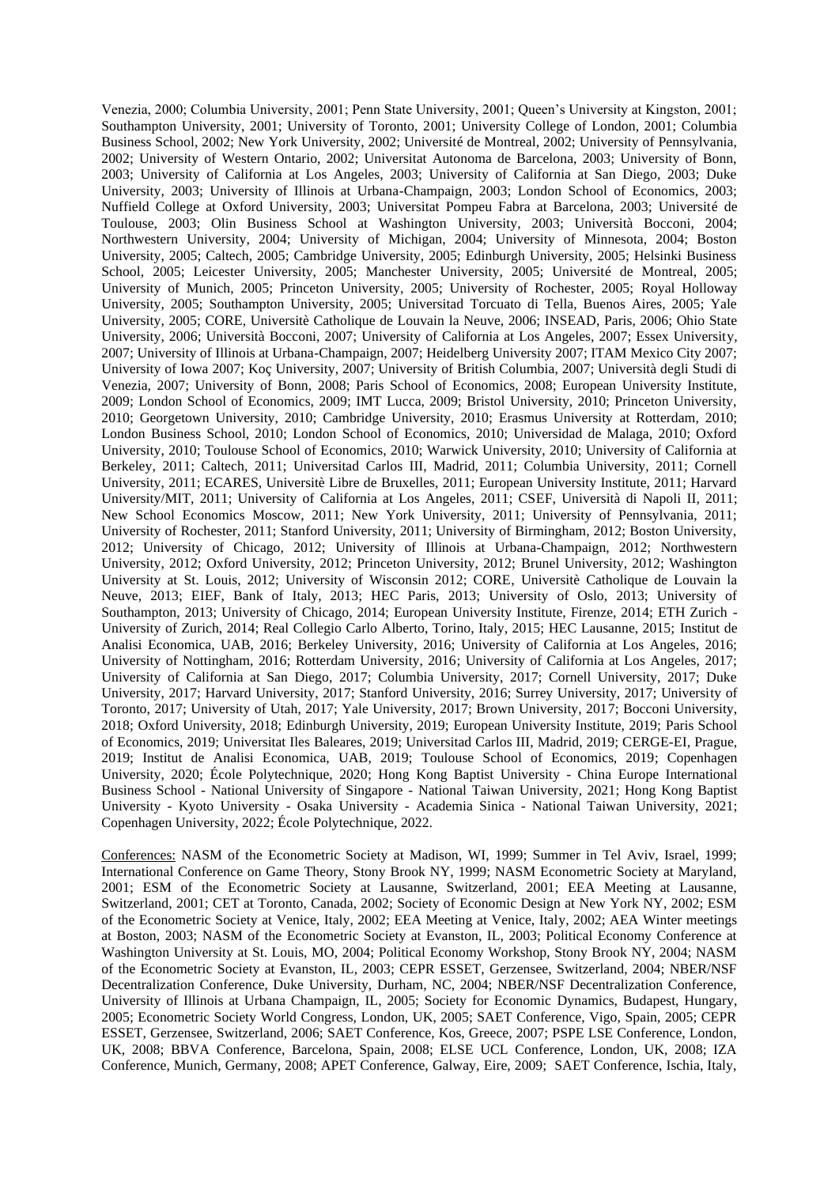Venezia, 2000; Columbia University, 2001; Penn State University, 2001; Queen's University at Kingston, 2001; Southampton University, 2001; University of Toronto, 2001; University College of London, 2001; Columbia Business School, 2002; New York University, 2002; Université de Montreal, 2002; University of Pennsylvania, 2002; University of Western Ontario, 2002; Universitat Autonoma de Barcelona, 2003; University of Bonn, 2003; University of California at Los Angeles, 2003; University of California at San Diego, 2003; Duke University, 2003; University of Illinois at Urbana-Champaign, 2003; London School of Economics, 2003; Nuffield College at Oxford University, 2003; Universitat Pompeu Fabra at Barcelona, 2003; Université de Toulouse, 2003; Olin Business School at Washington University, 2003; Università Bocconi, 2004; Northwestern University, 2004; University of Michigan, 2004; University of Minnesota, 2004; Boston University, 2005; Caltech, 2005; Cambridge University, 2005; Edinburgh University, 2005; Helsinki Business School, 2005; Leicester University, 2005; Manchester University, 2005; Université de Montreal, 2005; University of Munich, 2005; Princeton University, 2005; University of Rochester, 2005; Royal Holloway University, 2005; Southampton University, 2005; Universitad Torcuato di Tella, Buenos Aires, 2005; Yale University, 2005; CORE, Universitè Catholique de Louvain la Neuve, 2006; INSEAD, Paris, 2006; Ohio State University, 2006; Università Bocconi, 2007; University of California at Los Angeles, 2007; Essex University, 2007; University of Illinois at Urbana-Champaign, 2007; Heidelberg University 2007; ITAM Mexico City 2007; University of Iowa 2007; Koç University, 2007; University of British Columbia, 2007; Università degli Studi di Venezia, 2007; University of Bonn, 2008; Paris School of Economics, 2008; European University Institute, 2009; London School of Economics, 2009; IMT Lucca, 2009; Bristol University, 2010; Princeton University, 2010; Georgetown University, 2010; Cambridge University, 2010; Erasmus University at Rotterdam, 2010; London Business School, 2010; London School of Economics, 2010; Universidad de Malaga, 2010; Oxford University, 2010; Toulouse School of Economics, 2010; Warwick University, 2010; University of California at Berkeley, 2011; Caltech, 2011; Universitad Carlos III, Madrid, 2011; Columbia University, 2011; Cornell University, 2011; ECARES, Universitè Libre de Bruxelles, 2011; European University Institute, 2011; Harvard University/MIT, 2011; University of California at Los Angeles, 2011; CSEF, Università di Napoli II, 2011; New School Economics Moscow, 2011; New York University, 2011; University of Pennsylvania, 2011; University of Rochester, 2011; Stanford University, 2011; University of Birmingham, 2012; Boston University, 2012; University of Chicago, 2012; University of Illinois at Urbana-Champaign, 2012; Northwestern University, 2012; Oxford University, 2012; Princeton University, 2012; Brunel University, 2012; Washington University at St. Louis, 2012; University of Wisconsin 2012; CORE, Universitè Catholique de Louvain la Neuve, 2013; EIEF, Bank of Italy, 2013; HEC Paris, 2013; University of Oslo, 2013; University of Southampton, 2013; University of Chicago, 2014; European University Institute, Firenze, 2014; ETH Zurich - University of Zurich, 2014; Real Collegio Carlo Alberto, Torino, Italy, 2015; HEC Lausanne, 2015; Institut de Analisi Economica, UAB, 2016; Berkeley University, 2016; University of California at Los Angeles, 2016; University of Nottingham, 2016; Rotterdam University, 2016; University of California at Los Angeles, 2017; University of California at San Diego, 2017; Columbia University, 2017; Cornell University, 2017; Duke University, 2017; Harvard University, 2017; Stanford University, 2016; Surrey University, 2017; University of Toronto, 2017; University of Utah, 2017; Yale University, 2017; Brown University, 2017; Bocconi University, 2018; Oxford University, 2018; Edinburgh University, 2019; European University Institute, 2019; Paris School of Economics, 2019; Universitat Iles Baleares, 2019; Universitad Carlos III, Madrid, 2019; CERGE-EI, Prague, 2019; Institut de Analisi Economica, UAB, 2019; Toulouse School of Economics, 2019; Copenhagen University, 2020; École Polytechnique, 2020; Hong Kong Baptist University - China Europe International Business School - National University of Singapore - National Taiwan University, 2021; Hong Kong Baptist University - Kyoto University - Osaka University - Academia Sinica - National Taiwan University, 2021; Copenhagen University, 2022; École Polytechnique, 2022.

Conferences: NASM of the Econometric Society at Madison, WI, 1999; Summer in Tel Aviv, Israel, 1999; International Conference on Game Theory, Stony Brook NY, 1999; NASM Econometric Society at Maryland, 2001; ESM of the Econometric Society at Lausanne, Switzerland, 2001; EEA Meeting at Lausanne, Switzerland, 2001; CET at Toronto, Canada, 2002; Society of Economic Design at New York NY, 2002; ESM of the Econometric Society at Venice, Italy, 2002; EEA Meeting at Venice, Italy, 2002; AEA Winter meetings at Boston, 2003; NASM of the Econometric Society at Evanston, IL, 2003; Political Economy Conference at Washington University at St. Louis, MO, 2004; Political Economy Workshop, Stony Brook NY, 2004; NASM of the Econometric Society at Evanston, IL, 2003; CEPR ESSET, Gerzensee, Switzerland, 2004; NBER/NSF Decentralization Conference, Duke University, Durham, NC, 2004; NBER/NSF Decentralization Conference, University of Illinois at Urbana Champaign, IL, 2005; Society for Economic Dynamics, Budapest, Hungary, 2005; Econometric Society World Congress, London, UK, 2005; SAET Conference, Vigo, Spain, 2005; CEPR ESSET, Gerzensee, Switzerland, 2006; SAET Conference, Kos, Greece, 2007; PSPE LSE Conference, London, UK, 2008; BBVA Conference, Barcelona, Spain, 2008; ELSE UCL Conference, London, UK, 2008; IZA Conference, Munich, Germany, 2008; APET Conference, Galway, Eire, 2009; SAET Conference, Ischia, Italy,